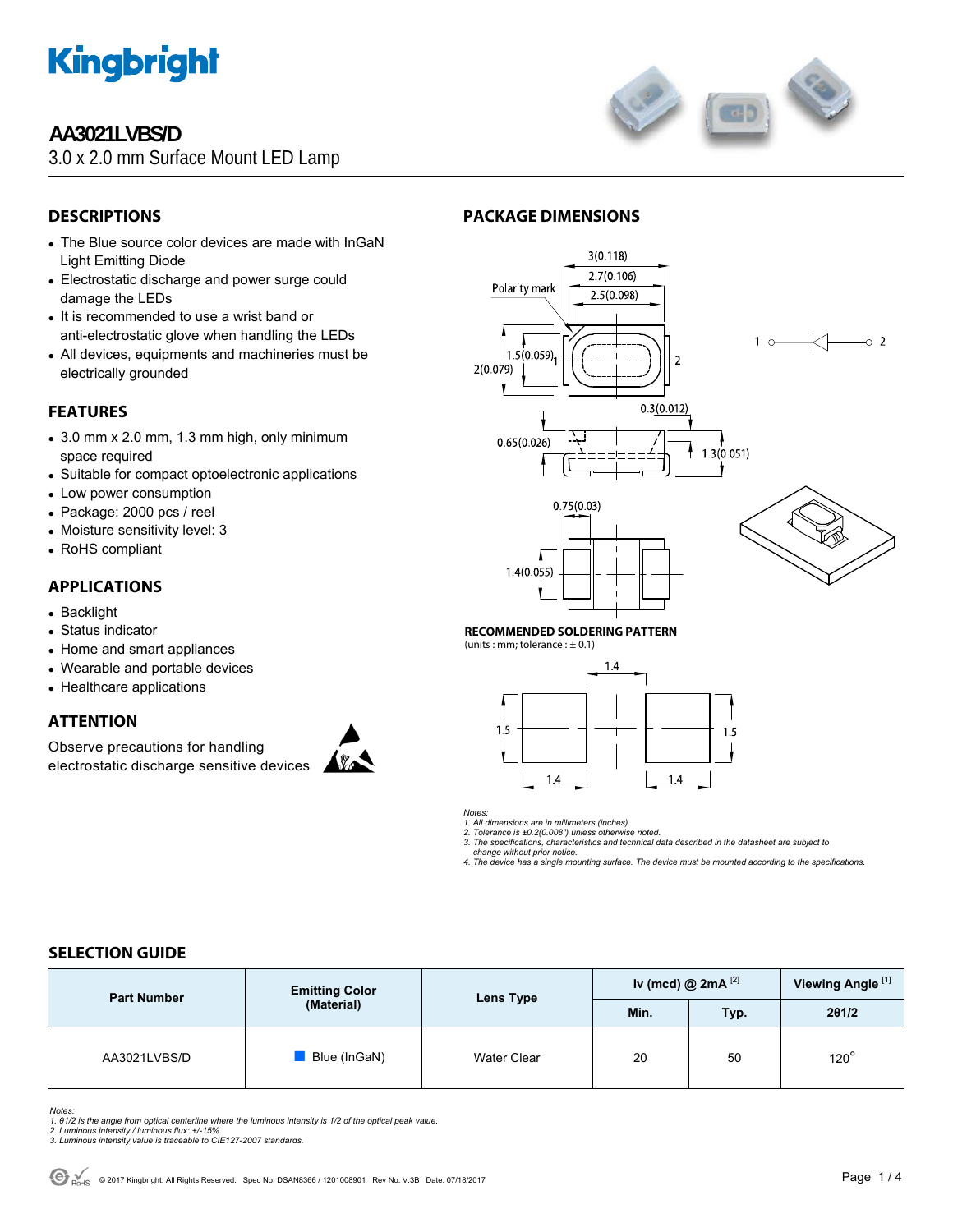

## **AA3021LVBS/D**

3.0 x 2.0 mm Surface Mount LED Lamp



## **DESCRIPTIONS**

- The Blue source color devices are made with InGaN Light Emitting Diode
- Electrostatic discharge and power surge could damage the LEDs
- It is recommended to use a wrist band or anti-electrostatic glove when handling the LEDs
- All devices, equipments and machineries must be electrically grounded

## **FEATURES**

- $\bullet$  3.0 mm x 2.0 mm, 1.3 mm high, only minimum space required
- Suitable for compact optoelectronic applications
- Low power consumption
- Package: 2000 pcs / reel
- Moisture sensitivity level: 3
- RoHS compliant

### **APPLICATIONS**

- Backlight
- Status indicator
- Home and smart appliances
- Wearable and portable devices
- Healthcare applications

### **ATTENTION**

Observe precautions for handling electrostatic discharge sensitive devices



## **PACKAGE DIMENSIONS**



#### **RECOMMENDED SOLDERING PATTERN**

(units : mm; tolerance :  $\pm$  0.1)



*Notes:* 

*1. All dimensions are in millimeters (inches). 2. Tolerance is ±0.2(0.008") unless otherwise noted.* 

*3. The specifications, characteristics and technical data described in the datasheet are subject to* 

 *change without prior notice.* 

*4. The device has a single mounting surface. The device must be mounted according to the specifications.* 

### **SELECTION GUIDE**

| <b>Part Number</b> | <b>Emitting Color</b><br>(Material) | Lens Type          | Iv (mcd) @ $2mA^{[2]}$ |      | Viewing Angle <sup>[1]</sup> |
|--------------------|-------------------------------------|--------------------|------------------------|------|------------------------------|
|                    |                                     |                    | Min.                   | Typ. | 201/2                        |
| AA3021LVBS/D       | Blue (InGaN)                        | <b>Water Clear</b> | 20                     | 50   | $120^\circ$                  |

*Notes:* 

*1. θ1/2 is the angle from optical centerline where the luminous intensity is 1/2 of the optical peak value. 2. Luminous intensity / luminous flux: +/-15%.* 

*3. Luminous intensity value is traceable to CIE127-2007 standards.*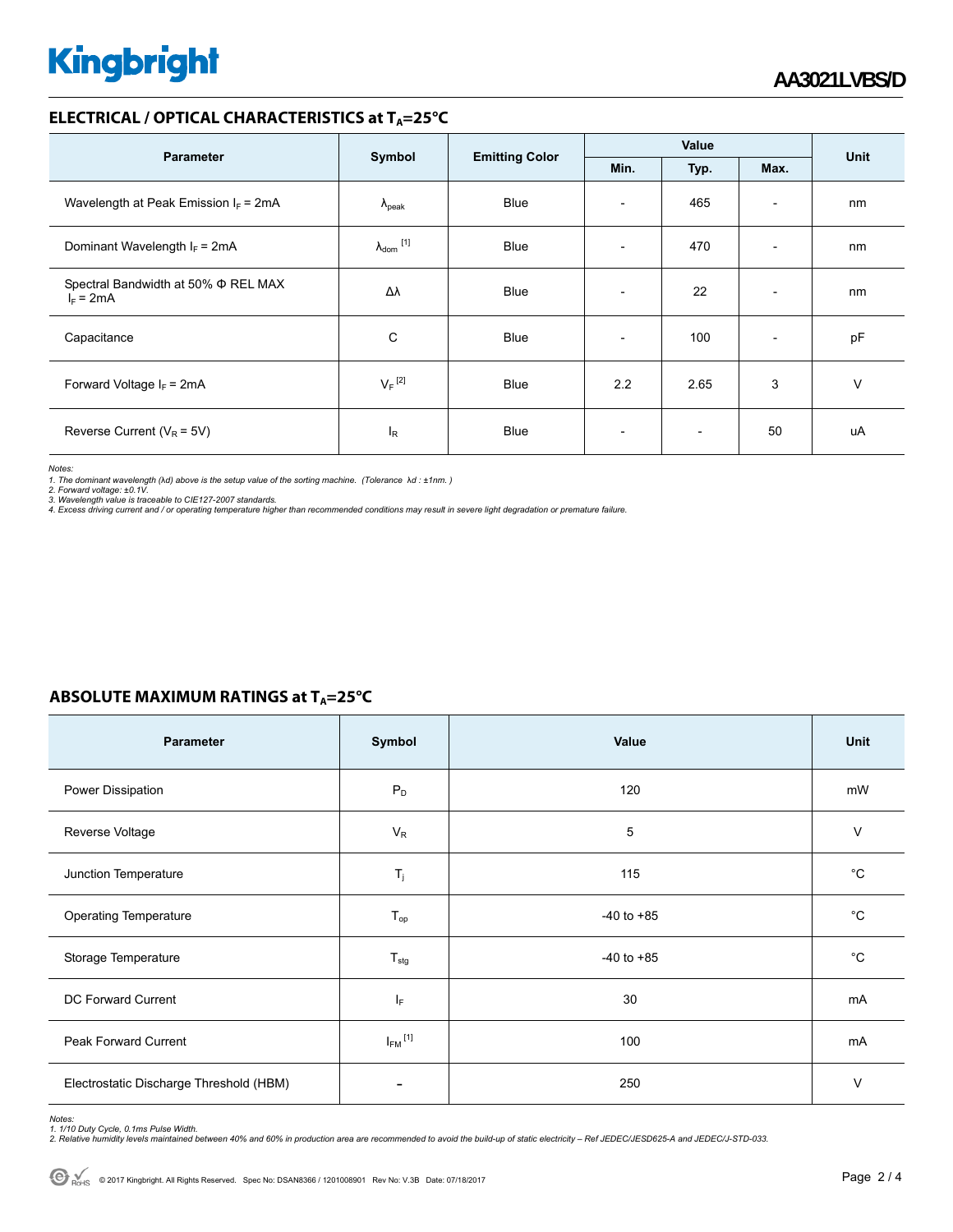# **Kingbright**

### **ELECTRICAL / OPTICAL CHARACTERISTICS at T<sub>A</sub>=25°C**

| <b>Parameter</b>                                        | Symbol                         | <b>Emitting Color</b> | Value                    |                          |                          | <b>Unit</b> |
|---------------------------------------------------------|--------------------------------|-----------------------|--------------------------|--------------------------|--------------------------|-------------|
|                                                         |                                |                       | Min.                     | Typ.                     | Max.                     |             |
| Wavelength at Peak Emission $I_F$ = 2mA                 | $\Lambda_{\rm peak}$           | <b>Blue</b>           | $\overline{\phantom{0}}$ | 465                      | $\overline{\phantom{a}}$ | nm          |
| Dominant Wavelength $I_F = 2mA$                         | $\lambda_{dom}$ <sup>[1]</sup> | <b>Blue</b>           | $\overline{\phantom{0}}$ | 470                      | $\overline{\phantom{a}}$ | nm          |
| Spectral Bandwidth at 50% $\Phi$ REL MAX<br>$I_F = 2mA$ | Δλ                             | <b>Blue</b>           | $\overline{\phantom{a}}$ | 22                       | $\overline{\phantom{a}}$ | nm          |
| Capacitance                                             | C                              | <b>Blue</b>           |                          | 100                      | $\overline{\phantom{a}}$ | pF          |
| Forward Voltage $I_F = 2mA$                             | $V_F$ <sup>[2]</sup>           | <b>Blue</b>           | 2.2                      | 2.65                     | 3                        | v           |
| Reverse Current ( $V_R$ = 5V)                           | l <sub>R</sub>                 | Blue                  | $\overline{a}$           | $\overline{\phantom{0}}$ | 50                       | uA          |

*Notes:* 

1. The dominant wavelength (λd) above is the setup value of the sorting machine. (Tolerance λd : ±1nm. )<br>2. Forward voltage: ±0.1V.<br>3. Wavelength value is traceable to CIE127-2007 standards.<br>4. Excess driving current and

### **ABSOLUTE MAXIMUM RATINGS at T<sub>A</sub>=25°C**

| Parameter                               | Symbol                   | Value          | Unit        |
|-----------------------------------------|--------------------------|----------------|-------------|
| Power Dissipation                       | $P_D$                    | 120            | mW          |
| Reverse Voltage                         | $V_R$                    | 5              | $\vee$      |
| Junction Temperature                    | $T_j$                    | 115            | $^{\circ}C$ |
| <b>Operating Temperature</b>            | $T_{op}$                 | $-40$ to $+85$ | $^{\circ}C$ |
| Storage Temperature                     | $T_{\text{stg}}$         | $-40$ to $+85$ | $^{\circ}C$ |
| DC Forward Current                      | IF.                      | 30             | mA          |
| Peak Forward Current                    | $I_{FM}$ <sup>[1]</sup>  | 100            | mA          |
| Electrostatic Discharge Threshold (HBM) | $\overline{\phantom{a}}$ | 250            | $\vee$      |

Notes:<br>1. 1/10 Duty Cycle, 0.1ms Pulse Width.<br>2. Relative humidity levels maintained between 40% and 60% in production area are recommended to avoid the build-up of static electricity – Ref JEDEC/JESD625-A and JEDEC/J-STD-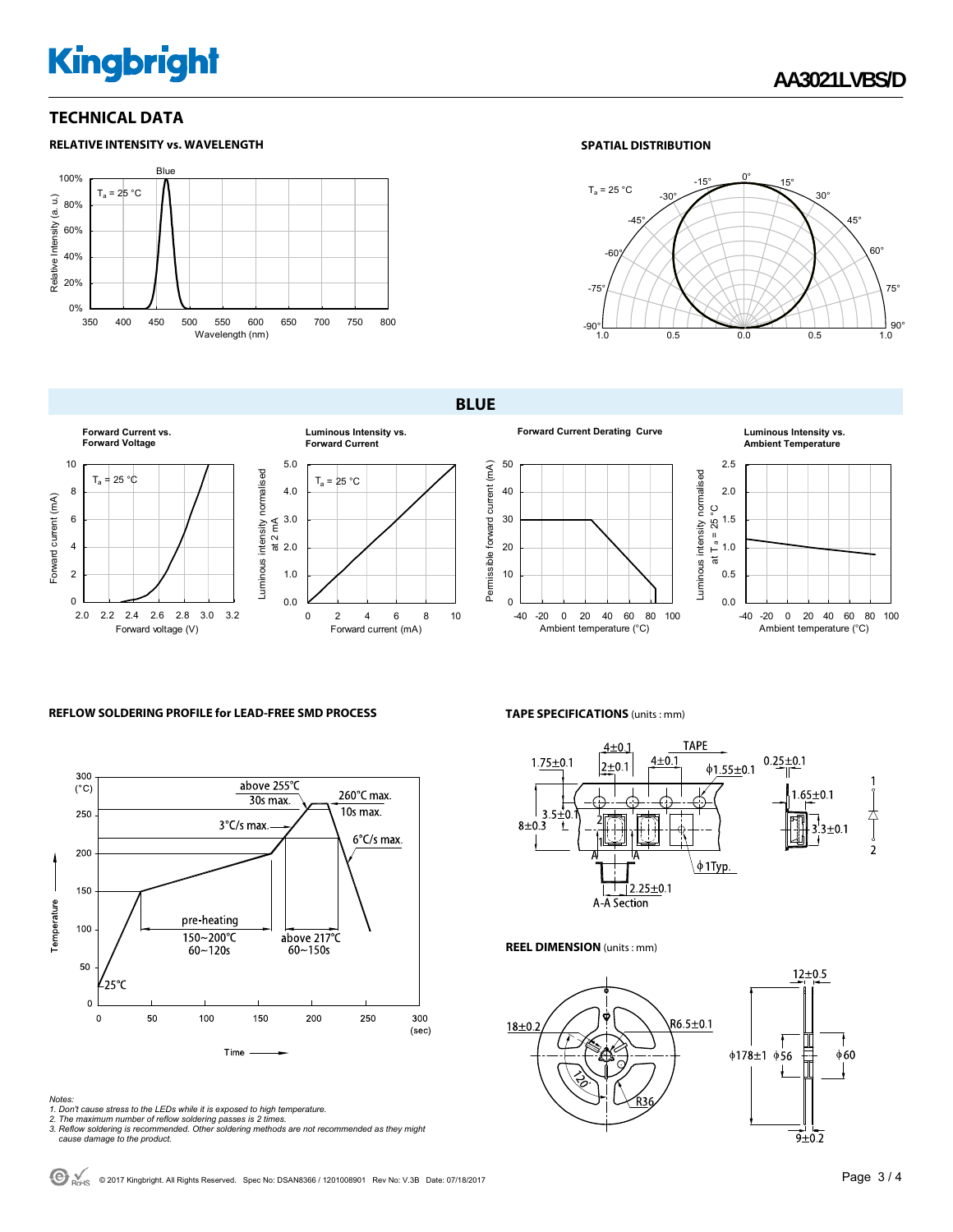## **Kingbright**

### **TECHNICAL DATA**



#### **SPATIAL DISTRIBUTION**



**BLUE** 





50



#### **Forward Current Derating Curve Luminous Intensity vs. Ambient Temperature**



#### **REFLOW SOLDERING PROFILE for LEAD-FREE SMD PROCESS**



- 
- 
- Notes:<br>1. Don't cause stress to the LEDs while it is exposed to high temperature.<br>2. The maximum number of reflow soldering passes is 2 times.<br>3. Reflow soldering is recommended. Other soldering methods are not recommended

#### **TAPE SPECIFICATIONS** (units : mm)



#### **REEL DIMENSION** (units : mm)